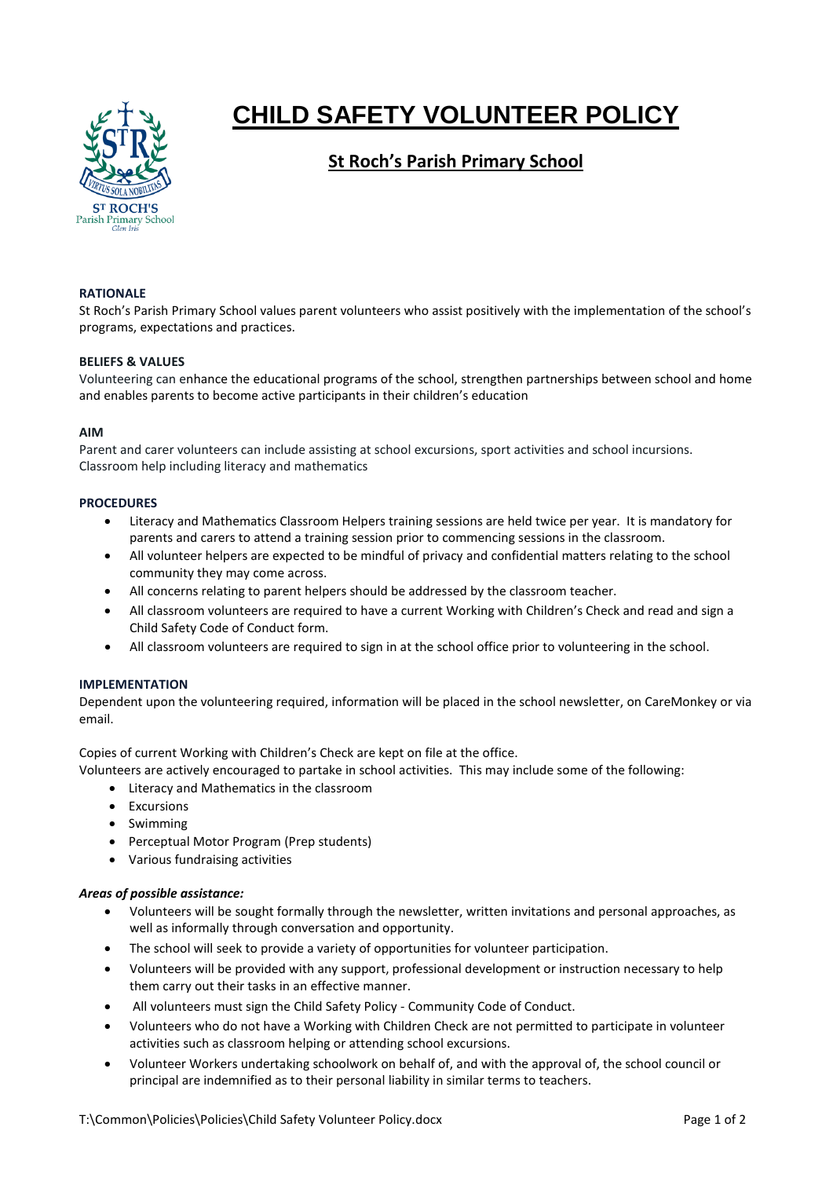

# **CHILD SAFETY VOLUNTEER POLICY**

# **St Roch's Parish Primary School**

# **RATIONALE**

St Roch's Parish Primary School values parent volunteers who assist positively with the implementation of the school's programs, expectations and practices.

# **BELIEFS & VALUES**

Volunteering can enhance the educational programs of the school, strengthen partnerships between school and home and enables parents to become active participants in their children's education

#### **AIM**

Parent and carer volunteers can include assisting at school excursions, sport activities and school incursions. Classroom help including literacy and mathematics

#### **PROCEDURES**

- Literacy and Mathematics Classroom Helpers training sessions are held twice per year. It is mandatory for parents and carers to attend a training session prior to commencing sessions in the classroom.
- All volunteer helpers are expected to be mindful of privacy and confidential matters relating to the school community they may come across.
- All concerns relating to parent helpers should be addressed by the classroom teacher.
- All classroom volunteers are required to have a current Working with Children's Check and read and sign a Child Safety Code of Conduct form.
- All classroom volunteers are required to sign in at the school office prior to volunteering in the school.

# **IMPLEMENTATION**

Dependent upon the volunteering required, information will be placed in the school newsletter, on CareMonkey or via email.

Copies of current Working with Children's Check are kept on file at the office.

Volunteers are actively encouraged to partake in school activities. This may include some of the following:

- Literacy and Mathematics in the classroom
- Excursions
- Swimming
- Perceptual Motor Program (Prep students)
- Various fundraising activities

# *Areas of possible assistance:*

- Volunteers will be sought formally through the newsletter, written invitations and personal approaches, as well as informally through conversation and opportunity.
- The school will seek to provide a variety of opportunities for volunteer participation.
- Volunteers will be provided with any support, professional development or instruction necessary to help them carry out their tasks in an effective manner.
- All volunteers must sign the Child Safety Policy Community Code of Conduct.
- Volunteers who do not have a Working with Children Check are not permitted to participate in volunteer activities such as classroom helping or attending school excursions.
- Volunteer Workers undertaking schoolwork on behalf of, and with the approval of, the school council or principal are indemnified as to their personal liability in similar terms to teachers.